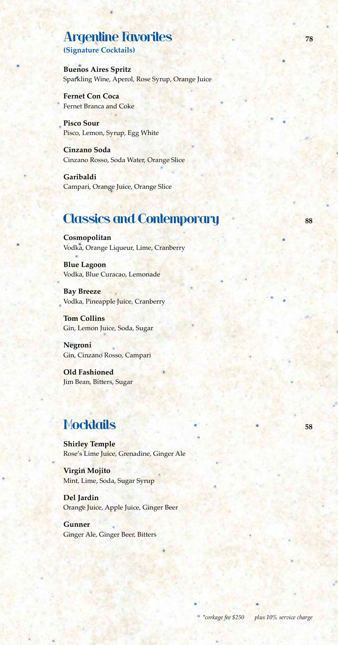## **Argentine Favorites 1988**

**(Signature Cocktails)** 

**Buenos Aires Spritz** Sparkling Wine, Aperol, Rose Syrup, Orange Juice

**Fernet Con Coca** Fernet Branca and Coke

**Pisco Sour** Pisco, Lemon, Syrup, Egg White

**Cinzano Soda** Cinzano Rosso, Soda Water, Orange Slice

**Garibaldi** Campari, Orange Juice, Orange Slice

#### **Classics and Contemporary 88**

**Cosmopolitan** Vodka, Orange Liqueur, Lime, Cranberry

**Blue Lagoon** Vodka, Blue Curacao, Lemonade

**Bay Breeze** Vodka, Pineapple Juice, Cranberry

**Tom Collins** Gin, Lemon Juice, Soda, Sugar

**Negroni** Gin, Cinzano Rosso, Campari

**Old Fashioned** Jim Bean, Bitters, Sugar

#### Mocktails **<sup>58</sup>**

**Shirley Temple** Rose's Lime Juice, Grenadine, Ginger Ale

**Virgin Mojito**  Mint, Lime, Soda, Sugar Syrup

**Del Jardin** Orange Juice, Apple Juice, Ginger Beer

**Gunner**  Ginger Ale, Ginger Beer, Bitters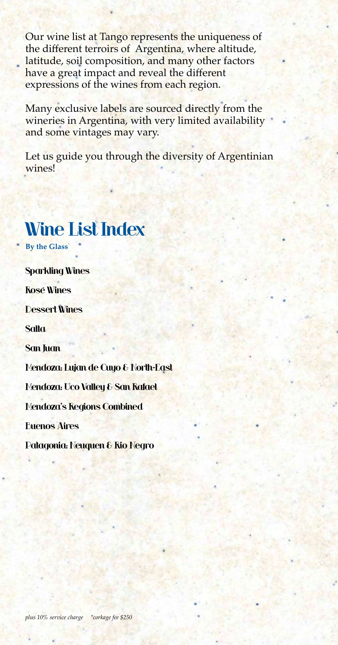Our wine list at Tango represents the uniqueness of the different terroirs of Argentina, where altitude, latitude, soil composition, and many other factors have a great impact and reveal the different expressions of the wines from each region.

Many exclusive labels are sourced directly from the wineries in Argentina, with very limited availability and some vintages may vary.

Let us guide you through the diversity of Argentinian wines!

## Wine List Index **By the Glass** Sparkling Wines Rosé Wines Dessert Wines **Salta** San Juan Mendoza: Lujan de Cuyo & North-East Mendoza: Uco Valley & San Rafael Mendoza's Regions Combined Buenos Aires Patagonia: Neuquen & Rio Negro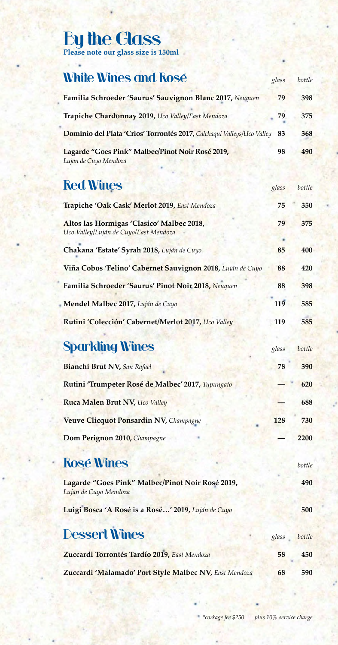# By the Glass

**Please note our glass size is 150ml**

## **White Wines and Rosé glass bottle**

| Familia Schroeder 'Saurus' Sauvignon Blanc 2017, Neuquen                  | 79 | 398 |
|---------------------------------------------------------------------------|----|-----|
| Trapiche Chardonnay 2019, Uco Valley/East Mendoza                         | 79 | 375 |
| Dominio del Plata 'Crios' Torrontés 2017, Calchaqui Valleys/Uco Valley 83 |    | 368 |
| Lagarde "Goes Pink" Malbec/Pinot Noir Rosé 2019,<br>Lujan de Cuyo Mendoza | 98 | 490 |

## **Red Wines** *glass bottle*

| Trapiche 'Oak Cask' Merlot 2019, East Mendoza                                      | 75    | 350    |
|------------------------------------------------------------------------------------|-------|--------|
| Altos las Hormigas 'Clasico' Malbec 2018,<br>Uco Valley/Luján de Cuyo/East Mendoza | 79    | 375    |
| Chakana 'Estate' Syrah 2018, Luján de Cuyo                                         | 85    | 400    |
| Viña Cobos 'Felino' Cabernet Sauvignon 2018, Luján de Cuyo                         | 88    | 420    |
| Familia Schroeder 'Saurus' Pinot Noir 2018, Neuquen                                | 88    | 398    |
| Mendel Malbec 2017, Luján de Cuyo                                                  | 119   | 585    |
| Rutini 'Colección' Cabernet/Merlot 2017, Uco Valley                                | 119   | 585    |
|                                                                                    |       |        |
| <b>Sparkling Wines</b>                                                             | glass | bottle |
| Bianchi Brut NV, San Rafael                                                        | 78    | 390    |
| Rutini 'Trumpeter Rosé de Malbec' 2017, Tupungato                                  |       | 620    |
| Ruca Malen Brut NV, Uco Valley                                                     |       | 688    |
| Veuve Clicquot Ponsardin NV, Champagne                                             | 128   | 730    |
| Dom Perignon 2010, Champagne                                                       |       | 2200   |
| <b>Rosé Wines</b>                                                                  |       | bottle |
| Lagarde "Goes Pink" Malbec/Pinot Noir Rosé 2019,<br>Lujan de Cuyo Mendoza          |       | 490    |
| Luigi Bosca 'A Rosé is a Rosé' 2019, Luján de Cuyo                                 |       | 500    |
| <b>Dessert Wines</b>                                                               | glass | bottle |
| Zuccardi Torrontés Tardío 2019, East Mendoza                                       | 58    | 450    |
| Zuccardi 'Malamado' Port Style Malbec NV, East Mendoza                             | 68    | 590    |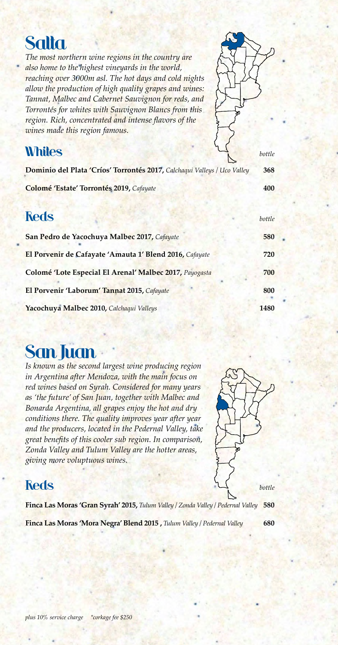## Salta

*The most northern wine regions in the country are also home to the highest vineyards in the world, reaching over 3000m asl. The hot days and cold nights allow the production of high quality grapes and wines: Tannat, Malbec and Cabernet Sauvignon for reds, and Torrontés for whites with Sauvignon Blancs from this region. Rich, concentrated and intense flavors of the wines made this region famous.*



| Dominio del Plata 'Críos' Torrontés 2017, Calchaqui Valleys / Uco Valley | 368    |
|--------------------------------------------------------------------------|--------|
| Colomé 'Estate' Torrontés 2019, Cafayate                                 | 400    |
| <b>Reds</b>                                                              | bottle |
| San Pedro de Yacochuya Malbec 2017, Cafayate                             | 580    |
| El Porvenir de Cafayate 'Amauta 1' Blend 2016, Cafayate                  | 720    |
| Colomé 'Lote Especial El Arenal' Malbec 2017, Payogasta                  | 700    |
| El Porvenir 'Laborum' Tannat 2015, Cafayate                              | 800    |
| Yacochuya Malbec 2010, Calchaqui Valleys                                 | 1480   |

## San Juan

*Is known as the second largest wine producing region in Argentina after Mendoza, with the main focus on red wines based on Syrah. Considered for many years as 'the future' of San Juan, together with Malbec and Bonarda Argentina, all grapes enjoy the hot and dry conditions there. The quality improves year after year and the producers, located in the Pedernal Valley, take great benefits of this cooler sub region. In comparison, Zonda Valley and Tulum Valley are the hotter areas, giving more voluptuous wines.*



**Finca Las Moras 'Gran Syrah' 2015,** *Tulum Valley / Zonda Valley / Pedernal Valley* **580 Finca Las Moras 'Mora Negra' Blend 2015 ,** *Tulum Valley / Pedernal Valley* **680**

*plus 10% service charge \*corkage fee \$250*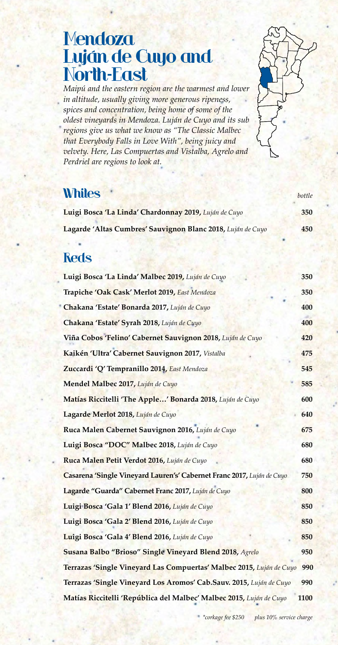## **Mendoza** Luján de Cuyo and North-East

*Maipú and the eastern region are the warmest and lower in altitude, usually giving more generous ripeness, spices and concentration, being home of some of the oldest vineyards in Mendoza. Luján de Cuyo and its sub regions give us what we know as "The Classic Malbec that Everybody Falls in Love With", being juicy and velvety. Here, Las Compuertas and Vistalba, Agrelo and Perdriel are regions to look at.*



#### **Whites** *bottle*

| Luigi Bosca 'La Linda' Chardonnay 2019, Luján de Cuyo       | 350 |
|-------------------------------------------------------------|-----|
| Lagarde 'Altas Cumbres' Sauvignon Blanc 2018, Luján de Cuyo | 450 |

#### **Reds**

| Luigi Bosca 'La Linda' Malbec 2019, Luján de Cuyo                      | 350  |
|------------------------------------------------------------------------|------|
| Trapiche 'Oak Cask' Merlot 2019, East Mendoza                          | 350  |
| Chakana 'Estate' Bonarda 2017, Luján de Cuyo                           | 400  |
| Chakana 'Estate' Syrah 2018, Luján de Cuyo                             | 400  |
| Viña Cobos 'Felino' Cabernet Sauvignon 2018, Luján de Cuyo             | 420  |
| Kaikén 'Ultra' Cabernet Sauvignon 2017, Vistalba                       | 475  |
| Zuccardi 'Q' Tempranillo 2014, East Mendoza                            | 545  |
| Mendel Malbec 2017, Luján de Cuyo                                      | 585  |
| Matías Riccitelli 'The Apple' Bonarda 2018, Luján de Cuyo              | 600  |
| Lagarde Merlot 2018, Luján de Cuyo                                     | 640  |
| Ruca Malen Cabernet Sauvignon 2016, Luján de Cuyo                      | 675  |
| Luigi Bosca "DOC" Malbec 2018, Luján de Cuyo                           | 680  |
| Ruca Malen Petit Verdot 2016, Luján de Cuyo                            | 680  |
| Casarena 'Single Vineyard Lauren's' Cabernet Franc 2017, Luján de Cuyo | 750  |
| Lagarde "Guarda" Cabernet Franc 2017, Luján de Cuyo                    | 800  |
| Luigi Bosca 'Gala 1' Blend 2016, Luján de Cuyo                         | 850  |
| Luigi Bosca 'Gala 2' Blend 2016, Luján de Cuyo                         | 850  |
| Luigi Bosca 'Gala 4' Blend 2016, Luján de Cuyo                         | 850  |
| Susana Balbo "Brioso" Single Vineyard Blend 2018, Agrelo               | 950  |
| Terrazas 'Single Vineyard Las Compuertas' Malbec 2015, Luján de Cuyo   | 990  |
| Terrazas 'Single Vineyard Los Aromos' Cab.Sauv. 2015, Luján de Cuyo    | 990  |
| Matías Riccitelli 'República del Malbec' Malbec 2015, Luján de Cuyo    | 1100 |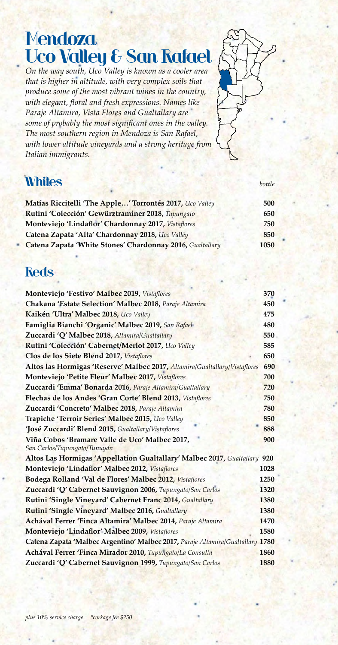## **Mendoza** Uco Valley & San Rafael

*On the way south, Uco Valley is known as a cooler area that is higher in altitude, with very complex soils that produce some of the most vibrant wines in the country, with elegant, floral and fresh expressions. Names like Paraje Altamira, Vista Flores and Gualtallary are some of probably the most significant ones in the valley. The most southern region in Mendoza is San Rafael, with lower altitude vineyards and a strong heritage from Italian immigrants.*



### **Whites** *bottle*

| Matías Riccitelli 'The Apple' Torrontés 2017, Uco Valley  | 500  |
|-----------------------------------------------------------|------|
| Rutini 'Colección' Gewürztraminer 2018, Tupungato         | 650  |
| Monteviejo 'Lindaflor' Chardonnay 2017, Vistaflores       | 750  |
| Catena Zapata 'Alta' Chardonnay 2018, Uco Valley          | 850  |
| Catena Zapata 'White Stones' Chardonnay 2016, Gualtallary | 1050 |

#### **Reds**

| Monteviejo 'Festivo' Malbec 2019, Vistaflores                                  | 370  |
|--------------------------------------------------------------------------------|------|
| Chakana 'Estate Selection' Malbec 2018, Paraje Altamira                        | 450  |
| Kaikén 'Ultra' Malbec 2018, Uco Valley                                         | 475  |
| Famiglia Bianchi 'Organic' Malbec 2019, San Rafael                             | 480  |
| Zuccardi 'Q' Malbec 2018, Altamira/Gualtallary                                 | 550  |
| Rutini 'Colección' Cabernet/Merlot 2017, Uco Valley                            | 585  |
| Clos de los Siete Blend 2017, Vistaflores                                      | 650  |
| Altos las Hormigas 'Reserve' Malbec 2017, Altamira/Gualtallary/Vistaflores     | 690  |
| Monteviejo 'Petite Fleur' Malbec 2017, Vistaflores                             | 700  |
| Zuccardi 'Emma' Bonarda 2016, Paraje Altamira/Gualtallary                      | 720  |
| Flechas de los Andes 'Gran Corte' Blend 2013, Vistaflores                      | 750  |
| Zuccardi 'Concreto' Malbec 2018, Paraje Altamira                               | 780  |
| Trapiche 'Terroir Series' Malbec 2015, Uco Valley                              | 850  |
| 'José Zuccardi' Blend 2015, Gualtallary/Vistaflores                            | 888  |
| Viña Cobos 'Bramare Valle de Uco' Malbec 2017,<br>San Carlos/Tupungato/Tunuyán | 900  |
| Altos Las Hormigas 'Appellation Gualtallary' Malbec 2017, Gualtallary          | 920  |
| Monteviejo 'Lindaflor' Malbec 2012, Vistaflores                                | 1028 |
| Bodega Rolland 'Val de Flores' Malbec 2012, Vistaflores                        | 1250 |
| Zuccardi 'Q' Cabernet Sauvignon 2006, Tupungato/San Carlos                     | 1320 |
| Rutini 'Single Vineyard' Cabernet Franc 2014, Gualtallary                      | 1380 |
| Rutini 'Single Vineyard' Malbec 2016, Gualtallary                              | 1380 |
| Achával Ferrer 'Finca Altamira' Malbec 2014, Paraje Altamira                   | 1470 |
| Monteviejo 'Lindaflor' Malbec 2009, Vistaflores                                | 1580 |
| Catena Zapata 'Malbec Argentino' Malbec 2017, Paraje Altamira/Gualtallary 1780 |      |
| Achával Ferrer 'Finca Mirador 2010, Tupungato/La Consulta                      | 1860 |
| Zuccardi 'Q' Cabernet Sauvignon 1999, Tupungato/San Carlos                     | 1880 |
|                                                                                |      |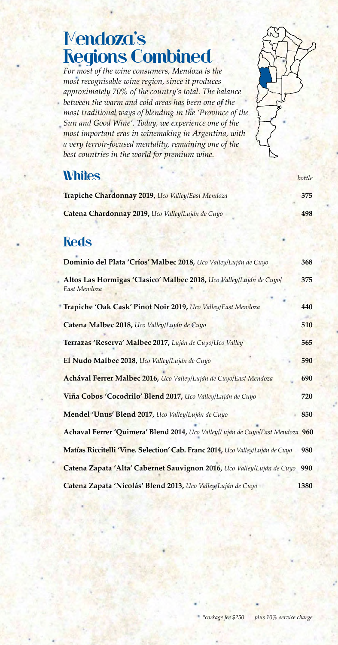## Mendoza's Regions Combined

*For most of the wine consumers, Mendoza is the most recognisable wine region, since it produces approximately 70% of the country's total. The balance between the warm and cold areas has been one of the most traditional ways of blending in the 'Province of the Sun and Good Wine'. Today, we experience one of the most important eras in winemaking in Argentina, with a very terroir-focused mentality, remaining one of the best countries in the world for premium wine.*

#### **Whites** *bottle*

| Trapiche Chardonnay 2019, Uco Valley/East Mendoza | 375 |
|---------------------------------------------------|-----|
| Catena Chardonnay 2019, Uco Valley/Luján de Cuyo  | 498 |

#### **Reds**

| Dominio del Plata 'Críos' Malbec 2018, Uco Valley/Luján de Cuyo                     | 368  |
|-------------------------------------------------------------------------------------|------|
| Altos Las Hormigas 'Clasico' Malbec 2018, Uco Valley/Luján de Cuyo/<br>East Mendoza | 375  |
| Trapiche 'Oak Cask' Pinot Noir 2019, Uco Valley/East Mendoza                        | 440  |
| Catena Malbec 2018, Uco Valley/Luján de Cuyo                                        | 510  |
| Terrazas 'Reserva' Malbec 2017, Luján de Cuyo/Uco Valley                            | 565  |
| El Nudo Malbec 2018, Uco Valley/Luján de Cuyo                                       | 590  |
| Achával Ferrer Malbec 2016, Uco Valley/Luján de Cuyo/East Mendoza                   | 690  |
| Viña Cobos 'Cocodrilo' Blend 2017, Uco Valley/Luján de Cuyo                         | 720  |
| Mendel 'Unus' Blend 2017, Uco Valley/Luján de Cuyo                                  | 850  |
| Achaval Ferrer 'Quimera' Blend 2014, Uco Valley/Luján de Cuyo/East Mendoza 960      |      |
| Matías Riccitelli 'Vine. Selection' Cab. Franc 2014, Uco Valley/Luján de Cuyo       | 980  |
| Catena Zapata 'Alta' Cabernet Sauvignon 2016, Uco Valley/Luján de Cuyo              | 990  |
| Catena Zapata 'Nicolás' Blend 2013, Uco Valley/Luján de Cuyo                        | 1380 |

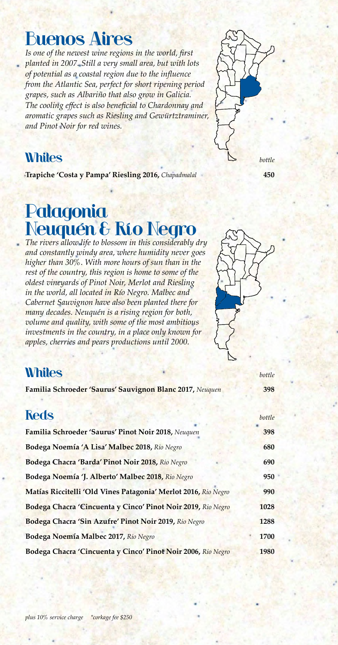## Buenos Aires

*Is one of the newest wine regions in the world, first planted in 2007. Still a very small area, but with lots of potential as a coastal region due to the influence from the Atlantic Sea, perfect for short ripening period grapes, such as Albariño that also grow in Galicia. The cooling effect is also beneficial to Chardonnay and aromatic grapes such as Riesling and Gewürtztraminer, and Pinot Noir for red wines.*



#### **Whites** *bottle*

**Trapiche 'Costa y Pampa' Riesling 2016,** *Chapadmalal* **450**

## Patagonia Neuquén & Río Negro

*The rivers allow life to blossom in this considerably dry and constantly windy area, where humidity never goes higher than 30%. With more hours of sun than in the rest of the country, this region is home to some of the oldest vineyards of Pinot Noir, Merlot and Riesling in the world, all located in Río Negro. Malbec and Cabernet Sauvignon have also been planted there for many decades. Neuquén is a rising region for both, volume and quality, with some of the most ambitious investments in the country, in a place only known for apples, cherries and pears productions until 2000.*



#### **Whites bottle**

**Familia Schroeder 'Saurus' Sauvignon Blanc 2017,** *Neuquen* **398**

| <b>Reds</b>                                                    | bottle |
|----------------------------------------------------------------|--------|
| Familia Schroeder 'Saurus' Pinot Noir 2018, Neuquen            | 398    |
| Bodega Noemía 'A Lisa' Malbec 2018, Rio Negro                  | 680    |
| Bodega Chacra 'Barda' Pinot Noir 2018, Rio Negro               | 690    |
| Bodega Noemía 'J. Alberto' Malbec 2018, Rio Negro              | 950    |
| Matías Riccitelli 'Old Vines Patagonia' Merlot 2016, Rio Negro | 990    |
| Bodega Chacra 'Cincuenta y Cinco' Pinot Noir 2019, Rio Negro   | 1028   |
| Bodega Chacra 'Sin Azufre' Pinot Noir 2019, Rio Negro          | 1288   |
| Bodega Noemía Malbec 2017, Rio Negro                           | 1700   |
| Bodega Chacra 'Cincuenta y Cinco' Pinot Noir 2006, Rio Negro   | 1980   |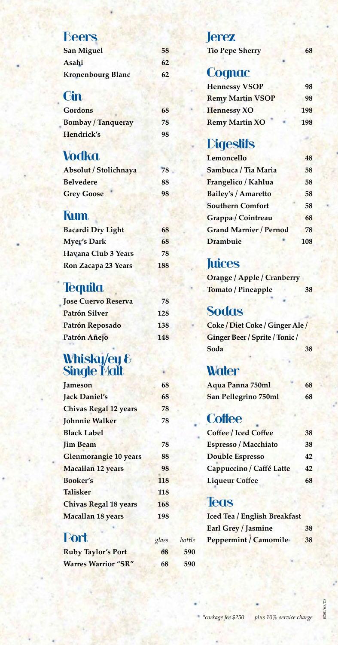### Beers

| <b>San Miguel</b>        | 58 |
|--------------------------|----|
| Asahi                    | 62 |
| <b>Kronenbourg Blanc</b> | 62 |

#### **Gin**

| <b>Gordons</b>            | 68 |
|---------------------------|----|
| <b>Bombay / Tanqueray</b> | 78 |
| Hendrick's                | 98 |

#### **Vodka**

| Absolut / Stolichnaya | 78 |
|-----------------------|----|
| <b>Belvedere</b>      | 88 |
| <b>Grey Goose</b>     | 98 |

#### **Rum**

| <b>Bacardi Dry Light</b> | 68  |
|--------------------------|-----|
| <b>Myer's Dark</b>       | 68  |
| Havana Club 3 Years      | 78  |
| Ron Zacapa 23 Years      | 188 |

#### **Tequila**

| <b>Jose Cuervo Reserva</b> | 78  |
|----------------------------|-----|
| <b>Patrón Silver</b>       | 128 |
| Patrón Reposado            | 138 |
| Patrón Añejo               | 148 |

#### Whisky/ey & Single Malt

| <b>Jameson</b>               | 68  |
|------------------------------|-----|
| <b>Jack Daniel's</b>         | 68  |
| <b>Chivas Regal 12 years</b> | 78  |
| <b>Johnnie Walker</b>        | 78  |
| <b>Black Label</b>           |     |
| <b>Jim Beam</b>              | 78  |
| <b>Glenmorangie 10 years</b> | 88  |
| <b>Macallan 12 years</b>     | 98  |
| <b>Booker's</b>              | 118 |
| <b>Talisker</b>              | 118 |
| <b>Chivas Regal 18 years</b> | 168 |
| <b>Macallan 18 years</b>     | 198 |

#### Port *glass bottle*

| <b>Ruby Taylor's Port</b>  | 68 | 590 |
|----------------------------|----|-----|
| <b>Warres Warrior "SR"</b> | 68 | 590 |

#### Jerez

**Tio Pepe Sherry 68** 

#### **Cognac**

| <b>Hennessy VSOP</b>    | 98  |
|-------------------------|-----|
| <b>Remy Martin VSOP</b> | 98  |
| <b>Hennessy XO</b>      | 198 |
| <b>Remy Martin XO</b>   | 198 |

#### **Digestifs**

| Lemoncello                    | 48  |
|-------------------------------|-----|
| Sambuca / Tia Maria           | 58  |
| Frangelico / Kahlua           | 58  |
| <b>Bailey's / Amaretto</b>    | 58  |
| <b>Southern Comfort</b>       | 58  |
| Grappa / Cointreau            | 68  |
| <b>Grand Marnier / Pernod</b> | 78  |
| Drambuie                      | 108 |

#### **Juices**

**Orange / Apple / Cranberry Tomato / Pineapple 38**

#### **Sodas**

**Coke / Diet Coke / Ginger Ale / Ginger Beer / Sprite / Tonic / Soda 38**

#### **Water**

| Aqua Panna 750ml            | 68 |
|-----------------------------|----|
| <b>San Pellegrino 750ml</b> | 68 |

#### **Coffee**

| <b>Coffee / Iced Coffee</b> | 38 |
|-----------------------------|----|
| Espresso / Macchiato        | 38 |
| <b>Double Espresso</b>      | 42 |
| Cappuccino / Caffé Latte    | 42 |
| <b>Liqueur Coffee</b>       | 68 |

#### **Teas**

| <b>Iced Tea / English Breakfast</b> |    |
|-------------------------------------|----|
| Earl Grey / Jasmine                 | 38 |
| <b>Peppermint / Camomile</b>        | 38 |

 $02/09/2020$ 02/09/2020